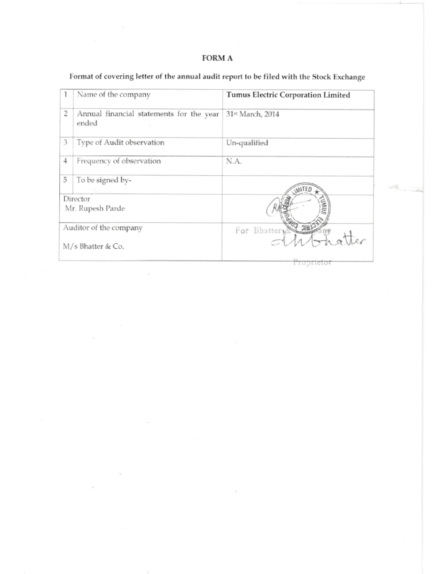# FORM A

# Format of covering letter of the annual audit report to be filed with the Stock Exchange

|                   | Name of the company                               | Tumus Electric Corporation Limited |
|-------------------|---------------------------------------------------|------------------------------------|
| 2                 | Annual financial statements for the year<br>ended | 31st March, 2014                   |
| 3                 | Type of Audit observation                         | Un-qualified                       |
| 4                 | Frequency of observation                          | N.A.                               |
| 5                 | To be signed by-                                  | <b>WITED</b>                       |
|                   | Director<br>Mr. Rupesh Parde                      |                                    |
|                   | Auditor of the company                            | For Bhatter                        |
| M/s Bhatter & Co. |                                                   |                                    |
|                   |                                                   | rmontetor                          |

with ...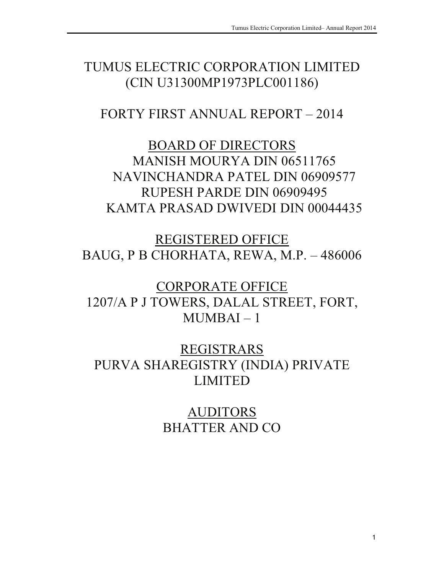# TUMUS ELECTRIC CORPORATION LIMITED (CIN U31300MP1973PLC001186)

# FORTY FIRST ANNUAL REPORT – 2014

# BOARD OF DIRECTORS MANISH MOURYA DIN 06511765 NAVINCHANDRA PATEL DIN 06909577 RUPESH PARDE DIN 06909495 KAMTA PRASAD DWIVEDI DIN 00044435

REGISTERED OFFICE BAUG, P B CHORHATA, REWA, M.P. – 486006

CORPORATE OFFICE 1207/A P J TOWERS, DALAL STREET, FORT, MUMBAI – 1

REGISTRARS PURVA SHAREGISTRY (INDIA) PRIVATE LIMITED

> AUDITORS BHATTER AND CO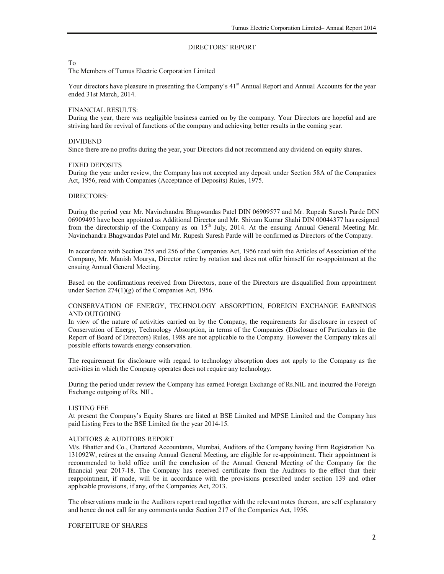## DIRECTORS' REPORT

### To

The Members of Tumus Electric Corporation Limited

Your directors have pleasure in presenting the Company's 41<sup>st</sup> Annual Report and Annual Accounts for the year ended 31st March, 2014.

#### FINANCIAL RESULTS:

During the year, there was negligible business carried on by the company. Your Directors are hopeful and are striving hard for revival of functions of the company and achieving better results in the coming year.

#### DIVIDEND

Since there are no profits during the year, your Directors did not recommend any dividend on equity shares.

#### FIXED DEPOSITS

During the year under review, the Company has not accepted any deposit under Section 58A of the Companies Act, 1956, read with Companies (Acceptance of Deposits) Rules, 1975.

## DIRECTORS:

During the period year Mr. Navinchandra Bhagwandas Patel DIN 06909577 and Mr. Rupesh Suresh Parde DIN 06909495 have been appointed as Additional Director and Mr. Shivam Kumar Shahi DIN 00044377 has resigned from the directorship of the Company as on  $15<sup>th</sup>$  July, 2014. At the ensuing Annual General Meeting Mr. Navinchandra Bhagwandas Patel and Mr. Rupesh Suresh Parde will be confirmed as Directors of the Company.

In accordance with Section 255 and 256 of the Companies Act, 1956 read with the Articles of Association of the Company, Mr. Manish Mourya, Director retire by rotation and does not offer himself for re-appointment at the ensuing Annual General Meeting.

Based on the confirmations received from Directors, none of the Directors are disqualified from appointment under Section 274(1)(g) of the Companies Act, 1956.

## CONSERVATION OF ENERGY, TECHNOLOGY ABSORPTION, FOREIGN EXCHANGE EARNINGS AND OUTGOING

In view of the nature of activities carried on by the Company, the requirements for disclosure in respect of Conservation of Energy, Technology Absorption, in terms of the Companies (Disclosure of Particulars in the Report of Board of Directors) Rules, 1988 are not applicable to the Company. However the Company takes all possible efforts towards energy conservation.

The requirement for disclosure with regard to technology absorption does not apply to the Company as the activities in which the Company operates does not require any technology.

During the period under review the Company has earned Foreign Exchange of Rs.NIL and incurred the Foreign Exchange outgoing of Rs. NIL.

### LISTING FEE

At present the Company's Equity Shares are listed at BSE Limited and MPSE Limited and the Company has paid Listing Fees to the BSE Limited for the year 2014-15.

#### AUDITORS & AUDITORS REPORT

M/s. Bhatter and Co., Chartered Accountants, Mumbai, Auditors of the Company having Firm Registration No. 131092W, retires at the ensuing Annual General Meeting, are eligible for re-appointment. Their appointment is recommended to hold office until the conclusion of the Annual General Meeting of the Company for the financial year 2017-18. The Company has received certificate from the Auditors to the effect that their reappointment, if made, will be in accordance with the provisions prescribed under section 139 and other applicable provisions, if any, of the Companies Act, 2013.

The observations made in the Auditors report read together with the relevant notes thereon, are self explanatory and hence do not call for any comments under Section 217 of the Companies Act, 1956.

## FORFEITURE OF SHARES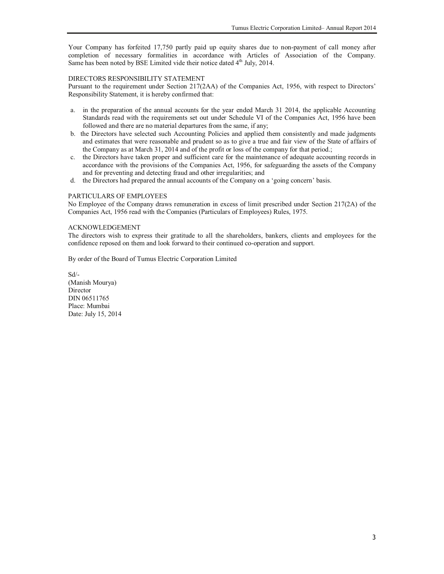Your Company has forfeited 17,750 partly paid up equity shares due to non-payment of call money after completion of necessary formalities in accordance with Articles of Association of the Company. Same has been noted by BSE Limited vide their notice dated 4<sup>th</sup> July, 2014.

## DIRECTORS RESPONSIBILITY STATEMENT

Pursuant to the requirement under Section 217(2AA) of the Companies Act, 1956, with respect to Directors' Responsibility Statement, it is hereby confirmed that:

- a. in the preparation of the annual accounts for the year ended March 31 2014, the applicable Accounting Standards read with the requirements set out under Schedule VI of the Companies Act, 1956 have been followed and there are no material departures from the same, if any;
- b. the Directors have selected such Accounting Policies and applied them consistently and made judgments and estimates that were reasonable and prudent so as to give a true and fair view of the State of affairs of the Company as at March 31, 2014 and of the profit or loss of the company for that period.;
- c. the Directors have taken proper and sufficient care for the maintenance of adequate accounting records in accordance with the provisions of the Companies Act, 1956, for safeguarding the assets of the Company and for preventing and detecting fraud and other irregularities; and
- d. the Directors had prepared the annual accounts of the Company on a 'going concern' basis.

## PARTICULARS OF EMPLOYEES

No Employee of the Company draws remuneration in excess of limit prescribed under Section 217(2A) of the Companies Act, 1956 read with the Companies (Particulars of Employees) Rules, 1975.

## ACKNOWLEDGEMENT

The directors wish to express their gratitude to all the shareholders, bankers, clients and employees for the confidence reposed on them and look forward to their continued co-operation and support.

By order of the Board of Tumus Electric Corporation Limited

Sd/- (Manish Mourya) **Director** DIN 06511765 Place: Mumbai Date: July 15, 2014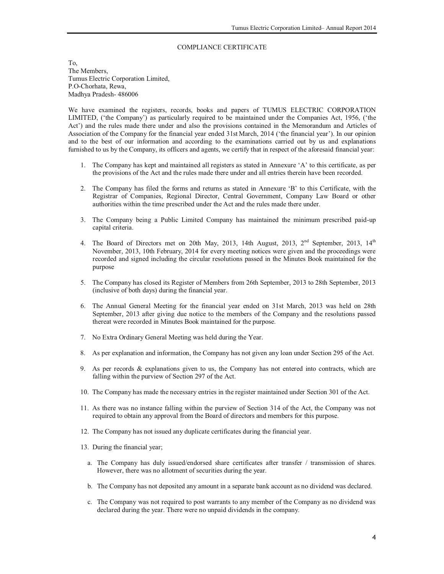## COMPLIANCE CERTIFICATE

To, The Members, Tumus Electric Corporation Limited, P.O-Chorhata, Rewa, Madhya Pradesh- 486006

We have examined the registers, records, books and papers of TUMUS ELECTRIC CORPORATION LIMITED, ('the Company') as particularly required to be maintained under the Companies Act, 1956, ('the Act') and the rules made there under and also the provisions contained in the Memorandum and Articles of Association of the Company for the financial year ended 31st March, 2014 ('the financial year'). In our opinion and to the best of our information and according to the examinations carried out by us and explanations furnished to us by the Company, its officers and agents, we certify that in respect of the aforesaid financial year:

- 1. The Company has kept and maintained all registers as stated in Annexure 'A' to this certificate, as per the provisions of the Act and the rules made there under and all entries therein have been recorded.
- 2. The Company has filed the forms and returns as stated in Annexure 'B' to this Certificate, with the Registrar of Companies, Regional Director, Central Government, Company Law Board or other authorities within the time prescribed under the Act and the rules made there under.
- 3. The Company being a Public Limited Company has maintained the minimum prescribed paid-up capital criteria.
- 4. The Board of Directors met on 20th May, 2013, 14th August, 2013,  $2<sup>nd</sup>$  September, 2013, 14<sup>th</sup> November, 2013, 10th February, 2014 for every meeting notices were given and the proceedings were recorded and signed including the circular resolutions passed in the Minutes Book maintained for the purpose
- 5. The Company has closed its Register of Members from 26th September, 2013 to 28th September, 2013 (inclusive of both days) during the financial year.
- 6. The Annual General Meeting for the financial year ended on 31st March, 2013 was held on 28th September, 2013 after giving due notice to the members of the Company and the resolutions passed thereat were recorded in Minutes Book maintained for the purpose.
- 7. No Extra Ordinary General Meeting was held during the Year.
- 8. As per explanation and information, the Company has not given any loan under Section 295 of the Act.
- 9. As per records  $\&$  explanations given to us, the Company has not entered into contracts, which are falling within the purview of Section 297 of the Act.
- 10. The Company has made the necessary entries in the register maintained under Section 301 of the Act.
- 11. As there was no instance falling within the purview of Section 314 of the Act, the Company was not required to obtain any approval from the Board of directors and members for this purpose.
- 12. The Company has not issued any duplicate certificates during the financial year.
- 13. During the financial year;
	- a. The Company has duly issued/endorsed share certificates after transfer / transmission of shares. However, there was no allotment of securities during the year.
	- b. The Company has not deposited any amount in a separate bank account as no dividend was declared.
	- c. The Company was not required to post warrants to any member of the Company as no dividend was declared during the year. There were no unpaid dividends in the company.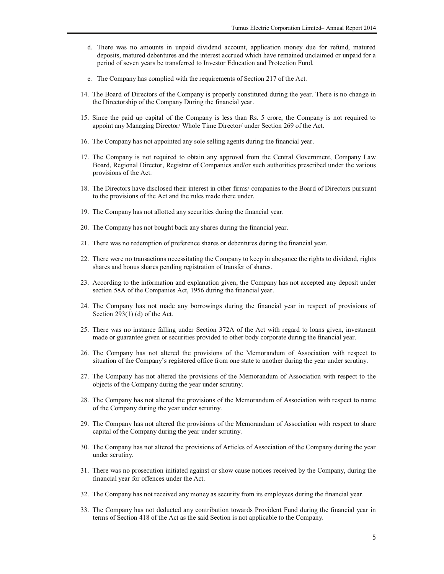- d. There was no amounts in unpaid dividend account, application money due for refund, matured deposits, matured debentures and the interest accrued which have remained unclaimed or unpaid for a period of seven years be transferred to Investor Education and Protection Fund.
- e. The Company has complied with the requirements of Section 217 of the Act.
- 14. The Board of Directors of the Company is properly constituted during the year. There is no change in the Directorship of the Company During the financial year.
- 15. Since the paid up capital of the Company is less than Rs. 5 crore, the Company is not required to appoint any Managing Director/ Whole Time Director/ under Section 269 of the Act.
- 16. The Company has not appointed any sole selling agents during the financial year.
- 17. The Company is not required to obtain any approval from the Central Government, Company Law Board, Regional Director, Registrar of Companies and/or such authorities prescribed under the various provisions of the Act.
- 18. The Directors have disclosed their interest in other firms/ companies to the Board of Directors pursuant to the provisions of the Act and the rules made there under.
- 19. The Company has not allotted any securities during the financial year.
- 20. The Company has not bought back any shares during the financial year.
- 21. There was no redemption of preference shares or debentures during the financial year.
- 22. There were no transactions necessitating the Company to keep in abeyance the rights to dividend, rights shares and bonus shares pending registration of transfer of shares.
- 23. According to the information and explanation given, the Company has not accepted any deposit under section 58A of the Companies Act, 1956 during the financial year.
- 24. The Company has not made any borrowings during the financial year in respect of provisions of Section 293(1) (d) of the Act.
- 25. There was no instance falling under Section 372A of the Act with regard to loans given, investment made or guarantee given or securities provided to other body corporate during the financial year.
- 26. The Company has not altered the provisions of the Memorandum of Association with respect to situation of the Company's registered office from one state to another during the year under scrutiny.
- 27. The Company has not altered the provisions of the Memorandum of Association with respect to the objects of the Company during the year under scrutiny.
- 28. The Company has not altered the provisions of the Memorandum of Association with respect to name of the Company during the year under scrutiny.
- 29. The Company has not altered the provisions of the Memorandum of Association with respect to share capital of the Company during the year under scrutiny.
- 30. The Company has not altered the provisions of Articles of Association of the Company during the year under scrutiny.
- 31. There was no prosecution initiated against or show cause notices received by the Company, during the financial year for offences under the Act.
- 32. The Company has not received any money as security from its employees during the financial year.
- 33. The Company has not deducted any contribution towards Provident Fund during the financial year in terms of Section 418 of the Act as the said Section is not applicable to the Company.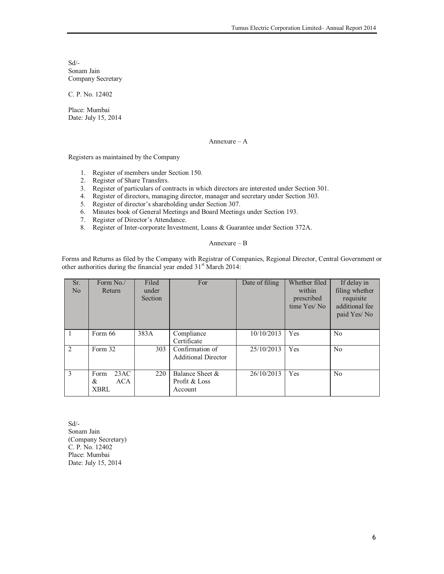Sd/- Sonam Jain Company Secretary

C. P. No. 12402

Place: Mumbai Date: July 15, 2014

### Annexure – A

Registers as maintained by the Company

- 1. Register of members under Section 150.
- 2. Register of Share Transfers.
- 3. Register of particulars of contracts in which directors are interested under Section 301.
- 4. Register of directors, managing director, manager and secretary under Section 303.
- 5. Register of director's shareholding under Section 307.
- 6. Minutes book of General Meetings and Board Meetings under Section 193.
- 7. Register of Director's Attendance.
- 8. Register of Inter-corporate Investment, Loans & Guarantee under Section 372A.

## Annexure – B

Forms and Returns as filed by the Company with Registrar of Companies, Regional Director, Central Government or other authorities during the financial year ended 31<sup>st</sup> March 2014:

| Sr.<br>N <sub>0</sub> | Form No./<br>Return                            | Filed<br>under<br>Section | For                                           | Date of filing | Whether filed<br>within<br>prescribed<br>time Yes/No | If delay in<br>filing whether<br>requisite<br>additional fee<br>paid Yes/No |
|-----------------------|------------------------------------------------|---------------------------|-----------------------------------------------|----------------|------------------------------------------------------|-----------------------------------------------------------------------------|
|                       | Form 66                                        | 383A                      | Compliance<br>Certificate                     | 10/10/2013     | Yes                                                  | N <sub>0</sub>                                                              |
| 2                     | Form 32                                        | 303                       | Confirmation of<br><b>Additional Director</b> | 25/10/2013     | Yes                                                  | N <sub>0</sub>                                                              |
| $\mathbf{3}$          | 23AC<br>Form<br><b>ACA</b><br>&<br><b>XBRL</b> | 220                       | Balance Sheet &<br>Profit & Loss<br>Account   | 26/10/2013     | Yes                                                  | N <sub>0</sub>                                                              |

Sd/- Sonam Jain (Company Secretary) C. P. No. 12402 Place: Mumbai Date: July 15, 2014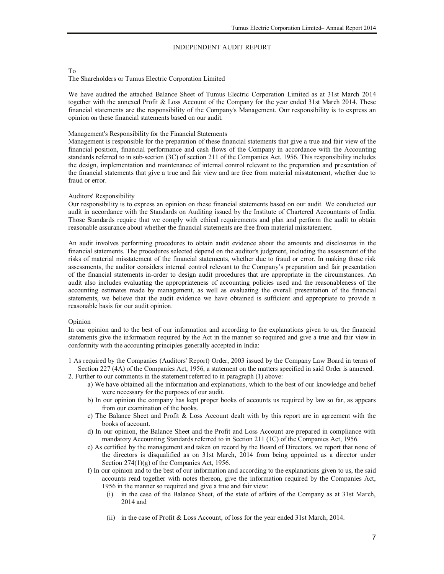## INDEPENDENT AUDIT REPORT

#### To

## The Shareholders or Tumus Electric Corporation Limited

We have audited the attached Balance Sheet of Tumus Electric Corporation Limited as at 31st March 2014 together with the annexed Profit & Loss Account of the Company for the year ended 31st March 2014. These financial statements are the responsibility of the Company's Management. Our responsibility is to express an opinion on these financial statements based on our audit.

### Management's Responsibility for the Financial Statements

Management is responsible for the preparation of these financial statements that give a true and fair view of the financial position, financial performance and cash flows of the Company in accordance with the Accounting standards referred to in sub-section (3C) of section 211 of the Companies Act, 1956. This responsibility includes the design, implementation and maintenance of internal control relevant to the preparation and presentation of the financial statements that give a true and fair view and are free from material misstatement, whether due to fraud or error.

#### Auditors' Responsibility

Our responsibility is to express an opinion on these financial statements based on our audit. We conducted our audit in accordance with the Standards on Auditing issued by the Institute of Chartered Accountants of India. Those Standards require that we comply with ethical requirements and plan and perform the audit to obtain reasonable assurance about whether the financial statements are free from material misstatement.

An audit involves performing procedures to obtain audit evidence about the amounts and disclosures in the financial statements. The procedures selected depend on the auditor's judgment, including the assessment of the risks of material misstatement of the financial statements, whether due to fraud or error. In making those risk assessments, the auditor considers internal control relevant to the Company's preparation and fair presentation of the financial statements in-order to design audit procedures that are appropriate in the circumstances. An audit also includes evaluating the appropriateness of accounting policies used and the reasonableness of the accounting estimates made by management, as well as evaluating the overall presentation of the financial statements, we believe that the audit evidence we have obtained is sufficient and appropriate to provide n reasonable basis for our audit opinion.

#### Opinion

In our opinion and to the best of our information and according to the explanations given to us, the financial statements give the information required by the Act in the manner so required and give a true and fair view in conformity with the accounting principles generally accepted in India:

- 1 As required by the Companies (Auditors' Report) Order, 2003 issued by the Company Law Board in terms of Section 227 (4A) of the Companies Act, 1956, a statement on the matters specified in said Order is annexed.
- 2. Further to our comments in the statement referred to in paragraph (1) above:
	- a) We have obtained all the information and explanations, which to the best of our knowledge and belief were necessary for the purposes of our audit.
	- b) In our opinion the company has kept proper books of accounts us required by law so far, as appears from our examination of the books.
	- c) The Balance Sheet and Profit & Loss Account dealt with by this report are in agreement with the books of account.
	- d) In our opinion, the Balance Sheet and the Profit and Loss Account are prepared in compliance with mandatory Accounting Standards referred to in Section 211 (1C) of the Companies Act, 1956.
	- e) As certified by the management and taken on record by the Board of Directors, we report that none of the directors is disqualified as on 31st March, 2014 from being appointed as a director under Section 274(1)(g) of the Companies Act, 1956.
	- f) In our opinion and to the best of our information and according to the explanations given to us, the said accounts read together with notes thereon, give the information required by the Companies Act, 1956 in the manner so required and give a true and fair view:
		- (i) in the case of the Balance Sheet, of the state of affairs of the Company as at 31st March, 2014 and
		- (ii) in the case of Profit & Loss Account, of loss for the year ended 31st March, 2014.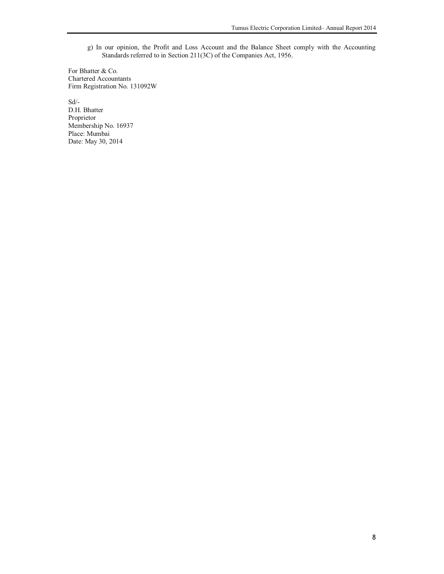g) In our opinion, the Profit and Loss Account and the Balance Sheet comply with the Accounting Standards referred to in Section 211(3C) of the Companies Act, 1956.

For Bhatter & Co. Chartered Accountants Firm Registration No. 131092W

Sd/- D.H. Bhatter Proprietor Membership No. 16937 Place: Mumbai Date: May 30, 2014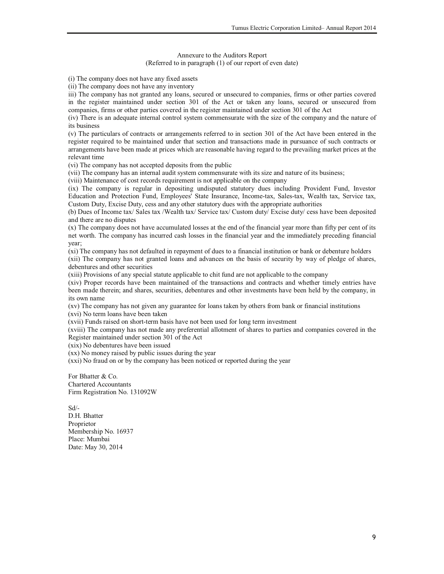Annexure to the Auditors Report (Referred to in paragraph (1) of our report of even date)

(i) The company does not have any fixed assets

(ii) The company does not have any inventory

iii) The company has not granted any loans, secured or unsecured to companies, firms or other parties covered in the register maintained under section 301 of the Act or taken any loans, secured or unsecured from companies, firms or other parties covered in the register maintained under section 301 of the Act

(iv) There is an adequate internal control system commensurate with the size of the company and the nature of its business

(v) The particulars of contracts or arrangements referred to in section 301 of the Act have been entered in the register required to be maintained under that section and transactions made in pursuance of such contracts or arrangements have been made at prices which are reasonable having regard to the prevailing market prices at the relevant time

(vi) The company has not accepted deposits from the public

(vii) The company has an internal audit system commensurate with its size and nature of its business;

(viii) Maintenance of cost records requirement is not applicable on the company

(ix) The company is regular in depositing undisputed statutory dues including Provident Fund, Investor Education and Protection Fund, Employees' State Insurance, Income-tax, Sales-tax, Wealth tax, Service tax, Custom Duty, Excise Duty, cess and any other statutory dues with the appropriate authorities

(b) Dues of Income tax/ Sales tax /Wealth tax/ Service tax/ Custom duty/ Excise duty/ cess have been deposited and there are no disputes

(x) The company does not have accumulated losses at the end of the financial year more than fifty per cent of its net worth. The company has incurred cash losses in the financial year and the immediately preceding financial year;

(xi) The company has not defaulted in repayment of dues to a financial institution or bank or debenture holders (xii) The company has not granted loans and advances on the basis of security by way of pledge of shares, debentures and other securities

(xiii) Provisions of any special statute applicable to chit fund are not applicable to the company

(xiv) Proper records have been maintained of the transactions and contracts and whether timely entries have been made therein; and shares, securities, debentures and other investments have been held by the company, in its own name

(xv) The company has not given any guarantee for loans taken by others from bank or financial institutions

(xvi) No term loans have been taken

(xvii) Funds raised on short-term basis have not been used for long term investment

(xviii) The company has not made any preferential allotment of shares to parties and companies covered in the Register maintained under section 301 of the Act

(xix) No debentures have been issued

(xx) No money raised by public issues during the year

(xxi) No fraud on or by the company has been noticed or reported during the year

For Bhatter & Co. Chartered Accountants Firm Registration No. 131092W

Sd/- D.H. Bhatter Proprietor Membership No. 16937 Place: Mumbai Date: May 30, 2014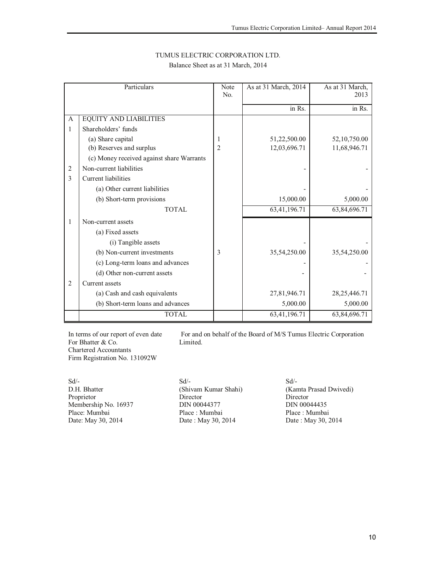|                | Particulars                               | Note<br>No. | As at 31 March, 2014 | As at 31 March,<br>2013 |
|----------------|-------------------------------------------|-------------|----------------------|-------------------------|
|                |                                           |             | in Rs.               | in Rs.                  |
| A              | <b>EQUITY AND LIABILITIES</b>             |             |                      |                         |
| 1              | Shareholders' funds                       |             |                      |                         |
|                | (a) Share capital                         | 1           | 51,22,500.00         | 52, 10, 750.00          |
|                | (b) Reserves and surplus                  | 2           | 12,03,696.71         | 11,68,946.71            |
|                | (c) Money received against share Warrants |             |                      |                         |
| 2              | Non-current liabilities                   |             |                      |                         |
| 3              | Current liabilities                       |             |                      |                         |
|                | (a) Other current liabilities             |             |                      |                         |
|                | (b) Short-term provisions                 |             | 15,000.00            | 5,000.00                |
|                | <b>TOTAL</b>                              |             | 63,41,196.71         | 63,84,696.71            |
| 1              | Non-current assets                        |             |                      |                         |
|                | (a) Fixed assets                          |             |                      |                         |
|                | (i) Tangible assets                       |             |                      |                         |
|                | (b) Non-current investments               | 3           | 35,54,250.00         | 35,54,250.00            |
|                | (c) Long-term loans and advances          |             |                      |                         |
|                | (d) Other non-current assets              |             |                      |                         |
| $\overline{2}$ | Current assets                            |             |                      |                         |
|                | (a) Cash and cash equivalents             |             | 27,81,946.71         | 28, 25, 446. 71         |
|                | (b) Short-term loans and advances         |             | 5,000.00             | 5,000.00                |
|                | <b>TOTAL</b>                              |             | 63,41,196.71         | 63,84,696.71            |

## TUMUS ELECTRIC CORPORATION LTD. Balance Sheet as at 31 March, 2014

In terms of our report of even date For Bhatter & Co. Chartered Accountants Firm Registration No. 131092W

For and on behalf of the Board of M/S Tumus Electric Corporation Limited.

Sd/- D.H. Bhatter Proprietor Membership No. 16937 Place: Mumbai Date: May 30, 2014

Sd/- (Shivam Kumar Shahi) Director DIN 00044377 Place : Mumbai Date : May 30, 2014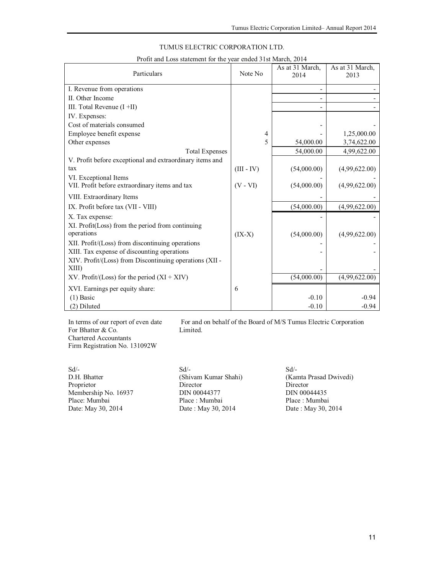| Particulars                                                      | Note No        | As at 31 March,<br>2014 | As at 31 March,<br>2013 |
|------------------------------------------------------------------|----------------|-------------------------|-------------------------|
| I. Revenue from operations                                       |                |                         |                         |
| II. Other Income                                                 |                |                         |                         |
| III. Total Revenue $(I + II)$                                    |                |                         |                         |
| IV. Expenses:                                                    |                |                         |                         |
| Cost of materials consumed                                       |                |                         |                         |
| Employee benefit expense                                         | $\overline{4}$ |                         | 1,25,000.00             |
| Other expenses                                                   | 5              | 54,000.00               | 3,74,622.00             |
| <b>Total Expenses</b>                                            |                | 54,000.00               | 4,99,622.00             |
| V. Profit before exceptional and extraordinary items and         |                |                         |                         |
| tax                                                              | $(III - IV)$   | (54,000.00)             | (4,99,622.00)           |
| VI. Exceptional Items                                            |                |                         |                         |
| VII. Profit before extraordinary items and tax                   | $(V - VI)$     | (54,000.00)             | (4,99,622.00)           |
| VIII. Extraordinary Items                                        |                |                         |                         |
| IX. Profit before tax (VII - VIII)                               |                | (54,000.00)             | (4,99,622.00)           |
| X. Tax expense:                                                  |                |                         |                         |
| XI. Profit (Loss) from the period from continuing                |                |                         |                         |
| operations                                                       | $(IX-X)$       | (54,000.00)             | (4,99,622.00)           |
| XII. Profit/(Loss) from discontinuing operations                 |                |                         |                         |
| XIII. Tax expense of discounting operations                      |                |                         |                         |
| XIV. Profit/(Loss) from Discontinuing operations (XII -<br>XIII) |                |                         |                         |
| $XV$ . Profit/(Loss) for the period $(XI + XIV)$                 |                | (54,000.00)             | (4,99,622.00)           |
| XVI. Earnings per equity share:                                  | 6              |                         |                         |
| $(1)$ Basic                                                      |                | $-0.10$                 | $-0.94$                 |
| (2) Diluted                                                      |                | $-0.10$                 | $-0.94$                 |

## TUMUS ELECTRIC CORPORATION LTD.

## Profit and Loss statement for the year ended 31st March, 2014

In terms of our report of even date For Bhatter & Co. Chartered Accountants Firm Registration No. 131092W

For and on behalf of the Board of M/S Tumus Electric Corporation Limited.

Sd/- D.H. Bhatter Proprietor Membership No. 16937 Place: Mumbai Date: May 30, 2014

Sd/- (Shivam Kumar Shahi) **Director** DIN 00044377 Place : Mumbai Date : May 30, 2014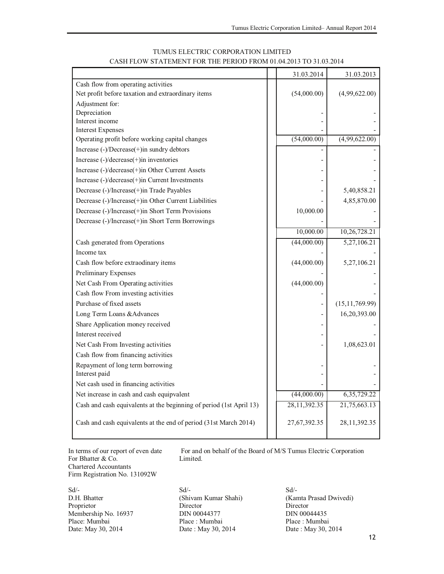|                                                                     | 31.03.2014      | 31.03.2013       |
|---------------------------------------------------------------------|-----------------|------------------|
| Cash flow from operating activities                                 |                 |                  |
| Net profit before taxation and extraordinary items                  | (54,000.00)     | (4,99,622.00)    |
| Adjustment for:                                                     |                 |                  |
| Depreciation                                                        |                 |                  |
| Interest income                                                     |                 |                  |
| <b>Interest Expenses</b>                                            |                 |                  |
| Operating profit before working capital changes                     | (54,000.00)     | (4,99,622.00)    |
| Increase (-)/Decrease(+)in sundry debtors                           |                 |                  |
| Increase (-)/decrease(+)in inventories                              |                 |                  |
| Increase (-)/decrease(+)in Other Current Assets                     |                 |                  |
| Increase (-)/decrease(+)in Current Investments                      |                 |                  |
| Decrease (-)/Increase(+)in Trade Payables                           |                 | 5,40,858.21      |
| Decrease (-)/Increase(+)in Other Current Liabilities                |                 | 4,85,870.00      |
| Decrease (-)/Increase(+)in Short Term Provisions                    | 10,000.00       |                  |
| Decrease (-)/Increase(+)in Short Term Borrowings                    |                 |                  |
|                                                                     | 10,000.00       | 10,26,728.21     |
| Cash generated from Operations                                      | (44,000.00)     | 5,27,106.21      |
| Income tax                                                          |                 |                  |
| Cash flow before extraodinary items                                 | (44,000.00)     | 5,27,106.21      |
| Preliminary Expenses                                                |                 |                  |
| Net Cash From Operating activities                                  | (44,000.00)     |                  |
| Cash flow From investing activities                                 |                 |                  |
| Purchase of fixed assets                                            |                 | (15, 11, 769.99) |
| Long Term Loans & Advances                                          |                 | 16,20,393.00     |
| Share Application money received                                    |                 |                  |
| Interest received                                                   |                 |                  |
| Net Cash From Investing activities                                  |                 | 1,08,623.01      |
| Cash flow from financing activities                                 |                 |                  |
| Repayment of long term borrowing                                    |                 |                  |
| Interest paid                                                       |                 |                  |
| Net cash used in financing activities                               |                 |                  |
| Net increase in cash and cash equipvalent                           | (44,000.00)     | 6, 35, 729. 22   |
| Cash and cash equivalents at the beginning of period (1st April 13) | 28, 11, 392. 35 | 21,75,663.13     |
|                                                                     |                 |                  |
| Cash and cash equivalents at the end of period (31st March 2014)    | 27,67,392.35    | 28, 11, 392. 35  |
|                                                                     |                 |                  |

## TUMUS ELECTRIC CORPORATION LIMITED CASH FLOW STATEMENT FOR THE PERIOD FROM 01.04.2013 TO 31.03.2014

In terms of our report of even date For Bhatter & Co. Chartered Accountants Firm Registration No. 131092W

For and on behalf of the Board of M/S Tumus Electric Corporation Limited.

Sd/- D.H. Bhatter Proprietor Membership No. 16937 Place: Mumbai Date: May 30, 2014

Sd/- (Shivam Kumar Shahi) Director DIN 00044377 Place : Mumbai Date : May 30, 2014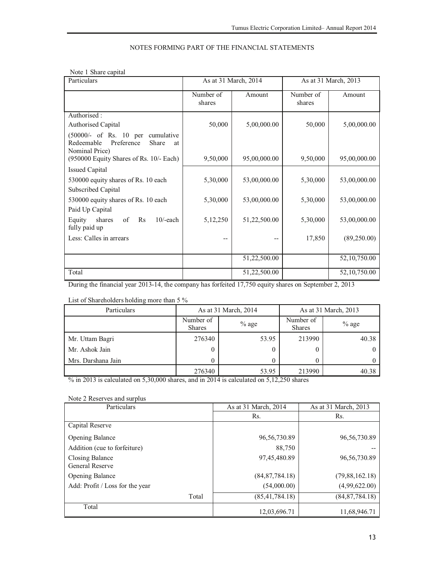| Particulars                                                                                    | As at 31 March, 2014 |              | As at 31 March, 2013 |                |
|------------------------------------------------------------------------------------------------|----------------------|--------------|----------------------|----------------|
|                                                                                                | Number of<br>shares  | Amount       | Number of<br>shares  | Amount         |
| Authorised:                                                                                    |                      |              |                      |                |
| <b>Authorised Capital</b>                                                                      | 50,000               | 5,00,000.00  | 50,000               | 5,00,000.00    |
| (50000/- of Rs. 10 per cumulative<br>Redeemable<br>Preference<br>Share<br>at<br>Nominal Price) |                      |              |                      |                |
| (950000 Equity Shares of Rs. 10/- Each)                                                        | 9,50,000             | 95,00,000.00 | 9,50,000             | 95,00,000.00   |
| <b>Issued Capital</b>                                                                          |                      |              |                      |                |
| 530000 equity shares of Rs. 10 each                                                            | 5,30,000             | 53,00,000.00 | 5,30,000             | 53,00,000.00   |
| Subscribed Capital                                                                             |                      |              |                      |                |
| 530000 equity shares of Rs. 10 each                                                            | 5,30,000             | 53,00,000.00 | 5,30,000             | 53,00,000.00   |
| Paid Up Capital                                                                                |                      |              |                      |                |
| $\rm Rs$<br>$10$ /-each<br>Equity<br>shares<br>of<br>fully paid up                             | 5,12,250             | 51,22,500.00 | 5,30,000             | 53,00,000.00   |
| Less: Calles in arrears                                                                        | --                   |              | 17,850               | (89,250.00)    |
|                                                                                                |                      | 51,22,500.00 |                      | 52, 10, 750.00 |
|                                                                                                |                      |              |                      |                |
| Total                                                                                          |                      | 51,22,500.00 |                      | 52, 10, 750.00 |

# NOTES FORMING PART OF THE FINANCIAL STATEMENTS

# Note 1 Share capital

During the financial year 2013-14, the company has forfeited 17,750 equity shares on September 2, 2013

## List of Shareholders holding more than 5 %

| Particulars        | As at 31 March, 2014       |          | As at 31 March, 2013       |          |
|--------------------|----------------------------|----------|----------------------------|----------|
|                    | Number of<br><b>Shares</b> | $%$ age  | Number of<br><b>Shares</b> | $%$ age  |
| Mr. Uttam Bagri    | 276340                     | 53.95    | 213990                     | 40.38    |
| Mr. Ashok Jain     | 0                          | $^{(1)}$ | $\theta$                   | $\theta$ |
| Mrs. Darshana Jain |                            |          | 0                          |          |
|                    | 276340                     | 53.95    | 213990                     | 40.38    |

% in 2013 is calculated on 5,30,000 shares, and in 2014 is calculated on 5,12,250 shares

## Note 2 Reserves and surplus

| Particulars                        | As at 31 March, 2014 | As at 31 March, 2013 |  |
|------------------------------------|----------------------|----------------------|--|
|                                    | Rs.                  | Rs.                  |  |
| Capital Reserve                    |                      |                      |  |
| <b>Opening Balance</b>             | 96, 56, 730. 89      | 96, 56, 730. 89      |  |
| Addition (cue to forfeiture)       | 88,750               |                      |  |
| Closing Balance<br>General Reserve | 97,45,480.89         | 96, 56, 730.89       |  |
| <b>Opening Balance</b>             | (84,87,784.18)       | (79, 88, 162.18)     |  |
| Add: Profit / Loss for the year    | (54,000.00)          | (4,99,622.00)        |  |
| Total                              | (85, 41, 784.18)     | (84, 87, 784.18)     |  |
| Total                              | 12,03,696.71         | 11,68,946.71         |  |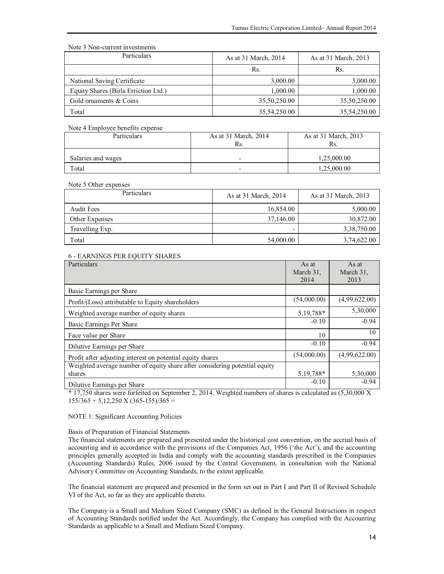Note 3 Non-current investments

| Particulars                          | As at 31 March, 2014 | As at 31 March, 2013 |  |
|--------------------------------------|----------------------|----------------------|--|
|                                      | Rs.                  | Rs.                  |  |
| National Saving Certificate          | 3,000.00             | 3,000.00             |  |
| Equity Shares (Birla Erriction Ltd.) | 1,000.00             | 1,000.00             |  |
| Gold ornaments & Coins               | 35,50,250.00         | 35,50,250.00         |  |
| Total                                | 35,54,250.00         | 35,54,250.00         |  |

Note 4 Employee benefits expense

| Particulars        | As at 31 March, 2014 | As at 31 March, 2013 |  |
|--------------------|----------------------|----------------------|--|
|                    | Rs.                  | Rs.                  |  |
| Salaries and wages | -                    | 1,25,000.00          |  |
| Total              | -                    | 1,25,000.00          |  |

Note 5 Other expenses

| Particulars       | As at 31 March, 2014 | As at 31 March, 2013 |
|-------------------|----------------------|----------------------|
| <b>Audit Fees</b> | 16,854.00            | 5,000.00             |
| Other Expenses    | 37,146.00            | 30,872.00            |
| Travelling Exp.   | -                    | 3,38,750.00          |
| Total             | 54,000.00            | 3,74,622.00          |

## 6 - EARNINGS PER EQUITY SHARES

| Particulars                                                                | As at       | As at         |
|----------------------------------------------------------------------------|-------------|---------------|
|                                                                            | March 31,   | March 31,     |
|                                                                            | 2014        | 2013          |
| Basic Earnings per Share                                                   |             |               |
| Profit/(Loss) attributable to Equity shareholders                          | (54,000.00) | (4,99,622.00) |
| Weighted average number of equity shares                                   | 5,19,788*   | 5,30,000      |
| Basic Earnings Per Share                                                   | $-0.10$     | $-0.94$       |
| Face value per Share                                                       | 10          | 10            |
| Dilutive Earnings per Share                                                | $-0.10$     | $-0.94$       |
| Profit after adjusting interest on potential equity shares                 | (54,000.00) | (4,99,622.00) |
| Weighted average number of equity share after considering potential equity |             |               |
| shares                                                                     | 5,19,788*   | 5,30,000      |
| Dilutive Earnings per Share                                                | $-0.10$     | $-0.94$       |

\* 17,750 shares were forfeited on September 2, 2014. Weighted numbers of shares is calculated as (5,30,000 X  $155/365 + 5,12,250$  X (365-155)/365 =

## NOTE 1: Significant Accounting Policies

Basis of Preparation of Financial Statements

The financial statements are prepared and presented under the historical cost convention, on the accrual basis of accounting and in accordance with the provisions of the Companies Act, 1956 ('the Act'), and the accounting principles generally accepted in India and comply with the accounting standards prescribed in the Companies (Accounting Standards) Rules, 2006 issued by the Central Government, in consultation with the National Advisory Committee on Accounting Standards, to the extent applicable.

The financial statement are prepared and presented in the form set out in Part I and Part II of Revised Schedule VI of the Act, so far as they are applicable thereto.

The Company is a Small and Medium Sized Company (SMC) as defined in the General Instructions in respect of Accounting Standards notified under the Act. Accordingly, the Company has complied with the Accounting Standards as applicable to a Small and Medium Sized Company.